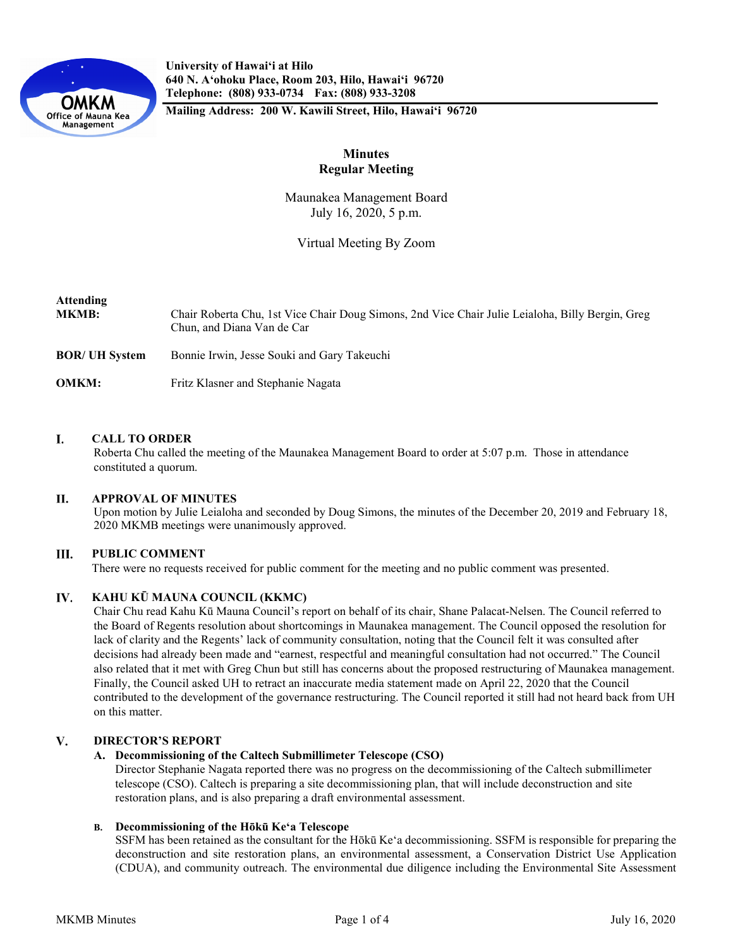

**University of Hawaiʻi at Hilo 640 N. A'ohoku Place, Room 203, Hilo, Hawai'i 96720 Telephone: (808) 933-0734 Fax: (808) 933-3208**

**Mailing Address: 200 W. Kawili Street, Hilo, Hawai'i 96720**

# **Minutes Regular Meeting**

Maunakea Management Board July 16, 2020, 5 p.m.

Virtual Meeting By Zoom

| <b>Attending</b><br><b>MKMB:</b> | Chair Roberta Chu, 1st Vice Chair Doug Simons, 2nd Vice Chair Julie Leialoha, Billy Bergin, Greg<br>Chun, and Diana Van de Car |
|----------------------------------|--------------------------------------------------------------------------------------------------------------------------------|
| <b>BOR/ UH System</b>            | Bonnie Irwin, Jesse Souki and Gary Takeuchi                                                                                    |
| <b>OMKM:</b>                     | Fritz Klasner and Stephanie Nagata                                                                                             |

#### I. **CALL TO ORDER**

Roberta Chu called the meeting of the Maunakea Management Board to order at 5:07 p.m. Those in attendance constituted a quorum.

#### П. **APPROVAL OF MINUTES**

Upon motion by Julie Leialoha and seconded by Doug Simons, the minutes of the December 20, 2019 and February 18, 2020 MKMB meetings were unanimously approved.

#### Ш. **PUBLIC COMMENT**

There were no requests received for public comment for the meeting and no public comment was presented.

#### IV. **KAHU KŪ MAUNA COUNCIL (KKMC)**

Chair Chu read Kahu Kū Mauna Council's report on behalf of its chair, Shane Palacat-Nelsen. The Council referred to the Board of Regents resolution about shortcomings in Maunakea management. The Council opposed the resolution for lack of clarity and the Regents' lack of community consultation, noting that the Council felt it was consulted after decisions had already been made and "earnest, respectful and meaningful consultation had not occurred." The Council also related that it met with Greg Chun but still has concerns about the proposed restructuring of Maunakea management. Finally, the Council asked UH to retract an inaccurate media statement made on April 22, 2020 that the Council contributed to the development of the governance restructuring. The Council reported it still had not heard back from UH on this matter.

#### V. **DIRECTOR'S REPORT**

### **A. Decommissioning of the Caltech Submillimeter Telescope (CSO)**

Director Stephanie Nagata reported there was no progress on the decommissioning of the Caltech submillimeter telescope (CSO). Caltech is preparing a site decommissioning plan, that will include deconstruction and site restoration plans, and is also preparing a draft environmental assessment.

### **B. Decommissioning of the Hōkū Keʻa Telescope**

SSFM has been retained as the consultant for the Hōkū Keʻa decommissioning. SSFM is responsible for preparing the deconstruction and site restoration plans, an environmental assessment, a Conservation District Use Application (CDUA), and community outreach. The environmental due diligence including the Environmental Site Assessment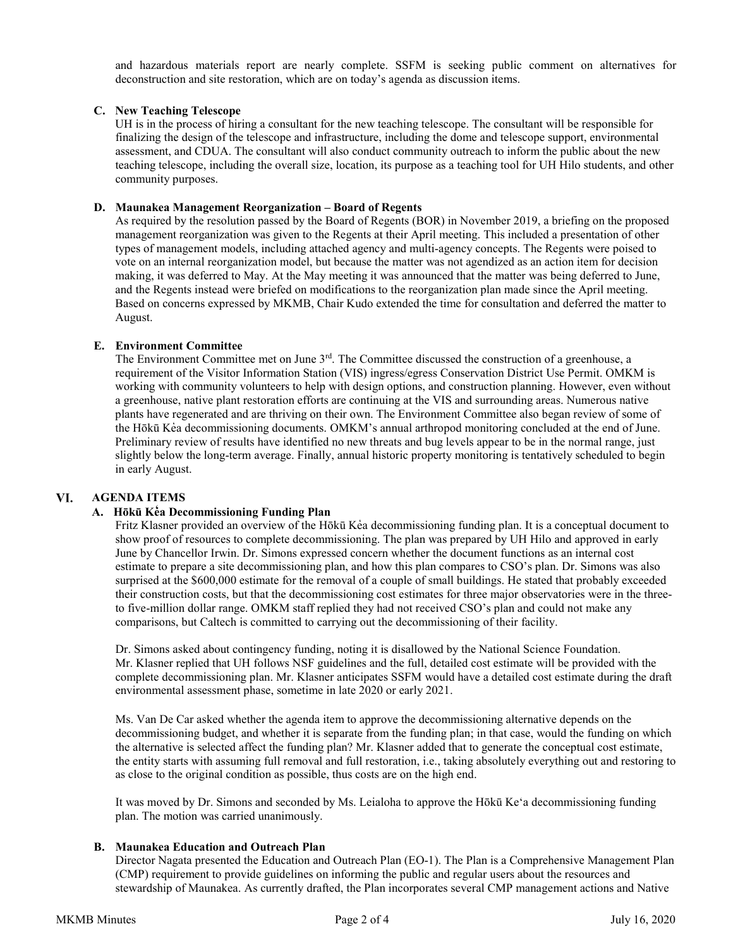and hazardous materials report are nearly complete. SSFM is seeking public comment on alternatives for deconstruction and site restoration, which are on today's agenda as discussion items.

## **C. New Teaching Telescope**

UH is in the process of hiring a consultant for the new teaching telescope. The consultant will be responsible for finalizing the design of the telescope and infrastructure, including the dome and telescope support, environmental assessment, and CDUA. The consultant will also conduct community outreach to inform the public about the new teaching telescope, including the overall size, location, its purpose as a teaching tool for UH Hilo students, and other community purposes.

## **D. Maunakea Management Reorganization – Board of Regents**

As required by the resolution passed by the Board of Regents (BOR) in November 2019, a briefing on the proposed management reorganization was given to the Regents at their April meeting. This included a presentation of other types of management models, including attached agency and multi-agency concepts. The Regents were poised to vote on an internal reorganization model, but because the matter was not agendized as an action item for decision making, it was deferred to May. At the May meeting it was announced that the matter was being deferred to June, and the Regents instead were briefed on modifications to the reorganization plan made since the April meeting. Based on concerns expressed by MKMB, Chair Kudo extended the time for consultation and deferred the matter to August.

## **E. Environment Committee**

The Environment Committee met on June 3<sup>rd</sup>. The Committee discussed the construction of a greenhouse, a requirement of the Visitor Information Station (VIS) ingress/egress Conservation District Use Permit. OMKM is working with community volunteers to help with design options, and construction planning. However, even without a greenhouse, native plant restoration efforts are continuing at the VIS and surrounding areas. Numerous native plants have regenerated and are thriving on their own. The Environment Committee also began review of some of the Hōkū Kea decommissioning documents. OMKM's annual arthropod monitoring concluded at the end of June. Preliminary review of results have identified no new threats and bug levels appear to be in the normal range, just slightly below the long-term average. Finally, annual historic property monitoring is tentatively scheduled to begin in early August.

#### VI. **AGENDA ITEMS**

# **A. Hōkū Ke̒ a Decommissioning Funding Plan**

Fritz Klasner provided an overview of the Hōkū Kea decommissioning funding plan. It is a conceptual document to show proof of resources to complete decommissioning. The plan was prepared by UH Hilo and approved in early June by Chancellor Irwin. Dr. Simons expressed concern whether the document functions as an internal cost estimate to prepare a site decommissioning plan, and how this plan compares to CSO's plan. Dr. Simons was also surprised at the \$600,000 estimate for the removal of a couple of small buildings. He stated that probably exceeded their construction costs, but that the decommissioning cost estimates for three major observatories were in the threeto five-million dollar range. OMKM staff replied they had not received CSO's plan and could not make any comparisons, but Caltech is committed to carrying out the decommissioning of their facility.

Dr. Simons asked about contingency funding, noting it is disallowed by the National Science Foundation. Mr. Klasner replied that UH follows NSF guidelines and the full, detailed cost estimate will be provided with the complete decommissioning plan. Mr. Klasner anticipates SSFM would have a detailed cost estimate during the draft environmental assessment phase, sometime in late 2020 or early 2021.

Ms. Van De Car asked whether the agenda item to approve the decommissioning alternative depends on the decommissioning budget, and whether it is separate from the funding plan; in that case, would the funding on which the alternative is selected affect the funding plan? Mr. Klasner added that to generate the conceptual cost estimate, the entity starts with assuming full removal and full restoration, i.e., taking absolutely everything out and restoring to as close to the original condition as possible, thus costs are on the high end.

It was moved by Dr. Simons and seconded by Ms. Leialoha to approve the Hōkū Keʻa decommissioning funding plan. The motion was carried unanimously.

### **B. Maunakea Education and Outreach Plan**

Director Nagata presented the Education and Outreach Plan (EO-1). The Plan is a Comprehensive Management Plan (CMP) requirement to provide guidelines on informing the public and regular users about the resources and stewardship of Maunakea. As currently drafted, the Plan incorporates several CMP management actions and Native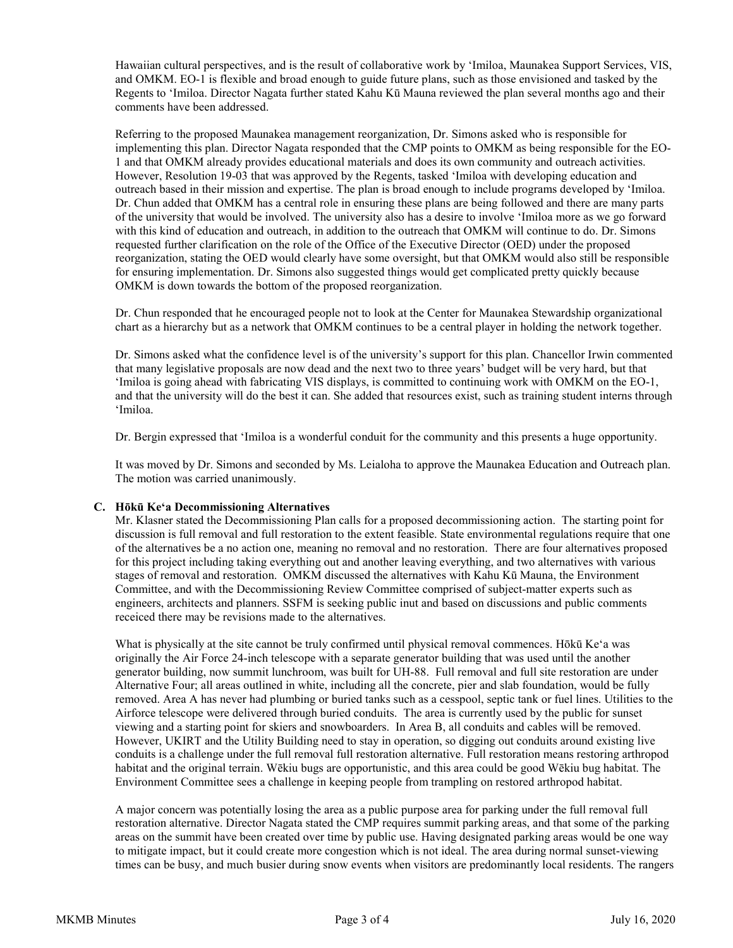Hawaiian cultural perspectives, and is the result of collaborative work by 'Imiloa, Maunakea Support Services, VIS, and OMKM. EO-1 is flexible and broad enough to guide future plans, such as those envisioned and tasked by the Regents to 'Imiloa. Director Nagata further stated Kahu Kū Mauna reviewed the plan several months ago and their comments have been addressed.

Referring to the proposed Maunakea management reorganization, Dr. Simons asked who is responsible for implementing this plan. Director Nagata responded that the CMP points to OMKM as being responsible for the EO-1 and that OMKM already provides educational materials and does its own community and outreach activities. However, Resolution 19-03 that was approved by the Regents, tasked 'Imiloa with developing education and outreach based in their mission and expertise. The plan is broad enough to include programs developed by ʻImiloa. Dr. Chun added that OMKM has a central role in ensuring these plans are being followed and there are many parts of the university that would be involved. The university also has a desire to involve 'Imiloa more as we go forward with this kind of education and outreach, in addition to the outreach that OMKM will continue to do. Dr. Simons requested further clarification on the role of the Office of the Executive Director (OED) under the proposed reorganization, stating the OED would clearly have some oversight, but that OMKM would also still be responsible for ensuring implementation. Dr. Simons also suggested things would get complicated pretty quickly because OMKM is down towards the bottom of the proposed reorganization.

Dr. Chun responded that he encouraged people not to look at the Center for Maunakea Stewardship organizational chart as a hierarchy but as a network that OMKM continues to be a central player in holding the network together.

Dr. Simons asked what the confidence level is of the university's support for this plan. Chancellor Irwin commented that many legislative proposals are now dead and the next two to three years' budget will be very hard, but that 'Imiloa is going ahead with fabricating VIS displays, is committed to continuing work with OMKM on the EO-1, and that the university will do the best it can. She added that resources exist, such as training student interns through 'Imiloa.

Dr. Bergin expressed that 'Imiloa is a wonderful conduit for the community and this presents a huge opportunity.

It was moved by Dr. Simons and seconded by Ms. Leialoha to approve the Maunakea Education and Outreach plan. The motion was carried unanimously.

# **C. Hōkū Ke'a Decommissioning Alternatives**

Mr. Klasner stated the Decommissioning Plan calls for a proposed decommissioning action. The starting point for discussion is full removal and full restoration to the extent feasible. State environmental regulations require that one of the alternatives be a no action one, meaning no removal and no restoration. There are four alternatives proposed for this project including taking everything out and another leaving everything, and two alternatives with various stages of removal and restoration. OMKM discussed the alternatives with Kahu Kū Mauna, the Environment Committee, and with the Decommissioning Review Committee comprised of subject-matter experts such as engineers, architects and planners. SSFM is seeking public inut and based on discussions and public comments receiced there may be revisions made to the alternatives.

What is physically at the site cannot be truly confirmed until physical removal commences. Hōkū Keʻa was originally the Air Force 24-inch telescope with a separate generator building that was used until the another generator building, now summit lunchroom, was built for UH-88. Full removal and full site restoration are under Alternative Four; all areas outlined in white, including all the concrete, pier and slab foundation, would be fully removed. Area A has never had plumbing or buried tanks such as a cesspool, septic tank or fuel lines. Utilities to the Airforce telescope were delivered through buried conduits. The area is currently used by the public for sunset viewing and a starting point for skiers and snowboarders. In Area B, all conduits and cables will be removed. However, UKIRT and the Utility Building need to stay in operation, so digging out conduits around existing live conduits is a challenge under the full removal full restoration alternative. Full restoration means restoring arthropod habitat and the original terrain. Wēkiu bugs are opportunistic, and this area could be good Wēkiu bug habitat. The Environment Committee sees a challenge in keeping people from trampling on restored arthropod habitat.

A major concern was potentially losing the area as a public purpose area for parking under the full removal full restoration alternative. Director Nagata stated the CMP requires summit parking areas, and that some of the parking areas on the summit have been created over time by public use. Having designated parking areas would be one way to mitigate impact, but it could create more congestion which is not ideal. The area during normal sunset-viewing times can be busy, and much busier during snow events when visitors are predominantly local residents. The rangers